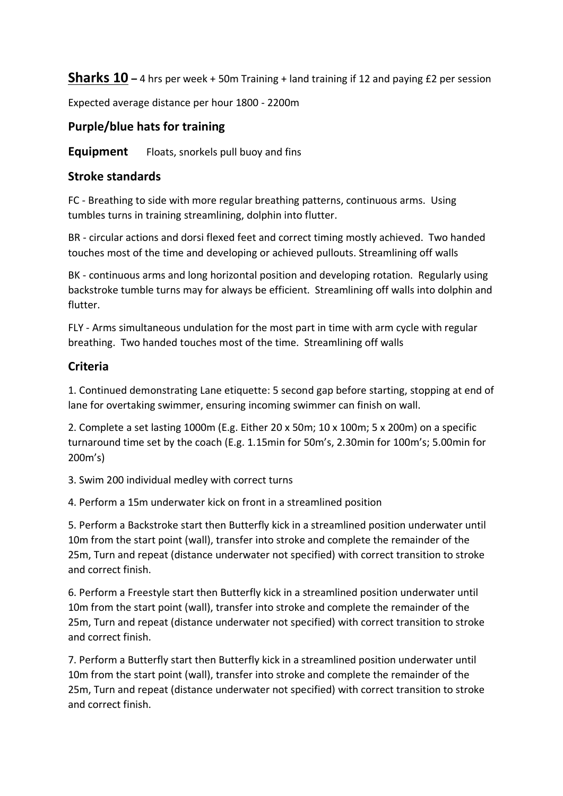**Sharks 10 –** 4 hrs per week + 50m Training + land training if 12 and paying £2 per session

Expected average distance per hour 1800 - 2200m

## **Purple/blue hats for training**

**Equipment** Floats, snorkels pull buoy and fins

## **Stroke standards**

FC - Breathing to side with more regular breathing patterns, continuous arms. Using tumbles turns in training streamlining, dolphin into flutter.

BR - circular actions and dorsi flexed feet and correct timing mostly achieved. Two handed touches most of the time and developing or achieved pullouts. Streamlining off walls

BK - continuous arms and long horizontal position and developing rotation. Regularly using backstroke tumble turns may for always be efficient. Streamlining off walls into dolphin and flutter.

FLY - Arms simultaneous undulation for the most part in time with arm cycle with regular breathing. Two handed touches most of the time. Streamlining off walls

## **Criteria**

1. Continued demonstrating Lane etiquette: 5 second gap before starting, stopping at end of lane for overtaking swimmer, ensuring incoming swimmer can finish on wall.

2. Complete a set lasting 1000m (E.g. Either 20 x 50m; 10 x 100m; 5 x 200m) on a specific turnaround time set by the coach (E.g. 1.15min for 50m's, 2.30min for 100m's; 5.00min for 200m's)

3. Swim 200 individual medley with correct turns

4. Perform a 15m underwater kick on front in a streamlined position

5. Perform a Backstroke start then Butterfly kick in a streamlined position underwater until 10m from the start point (wall), transfer into stroke and complete the remainder of the 25m, Turn and repeat (distance underwater not specified) with correct transition to stroke and correct finish.

6. Perform a Freestyle start then Butterfly kick in a streamlined position underwater until 10m from the start point (wall), transfer into stroke and complete the remainder of the 25m, Turn and repeat (distance underwater not specified) with correct transition to stroke and correct finish.

7. Perform a Butterfly start then Butterfly kick in a streamlined position underwater until 10m from the start point (wall), transfer into stroke and complete the remainder of the 25m, Turn and repeat (distance underwater not specified) with correct transition to stroke and correct finish.